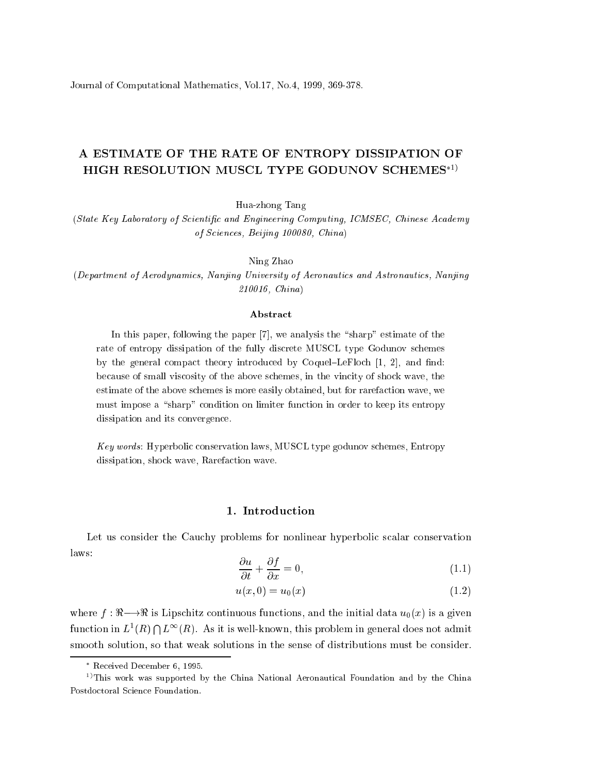Journal of Computational Mathemati
s, Vol.17, No.4, 1999, 369-378.

# A ESTIMATE OF THE RATE OF ENTROPY DISSIPATION OF HIGH RESOLUTION MUSCL TYPE GODUNOV SCHEMES<sup>\*1)</sup>

Hua-zhong Tang

(State Key Laboratory of Scientific and Engineering Computing, ICMSEC, Chinese Academy of S
ien
es, Beijing 100080, China)

. . . . . . <u>. . . . . .</u>

(Department of Aerodynami
s, Nanjing University of Aeronauti
s and Astronauti
s, Nanjing 210016, China)

#### **Abstract**

In this paper  $\sim$   $\sim$  this wing the paper [7], we analysis the  $\sim$  the the the  $\sim$ rate of entropy dissipation of the fully dis
rete MUSCL type Godunov s
hemes the general compact charge introduced the coquer moment of the state moment be
ause of small vis
osity of the above s
hemes, in the vin
ity of sho
k wave, the estimate of the above s
hemes is more easily obtained, but for rarefa
tion wave, we on tion in a sharp and its entropy its entropy in order to keep its entropy its entropy its entropy i dissipation and its onvergen
e.

Key words: Hyperbolic conservation laws, MUSCL type godunov schemes, Entropy dissipation was a contracted wave. The short wave in the state of the state of the state of the state of the s

### 1. Introduction

Let us consider the Cauchy problems for nonlinear hyperbolic scalar conservation laws:

$$
\frac{\partial u}{\partial t} + \frac{\partial f}{\partial x} = 0,\tag{1.1}
$$

$$
u(x,0) = u_0(x) \tag{1.2}
$$

where  $f : \mathbb{R} \longrightarrow \mathbb{R}$  is Lipschitz continuous functions, and the initial data  $u_0(x)$  is a given function in  $L^1(R) \cap L^{\infty}(R)$ . As it is well-known, this problem in general does not admit smooth solution, so that weak solutions in the sense of distributions must be consider.

Re
eived De
ember 6, 1995.

<sup>&</sup>lt;sup>1)</sup>This work was supported by the China National Aeronautical Foundation and by the China Postdoctoral Science Foundation.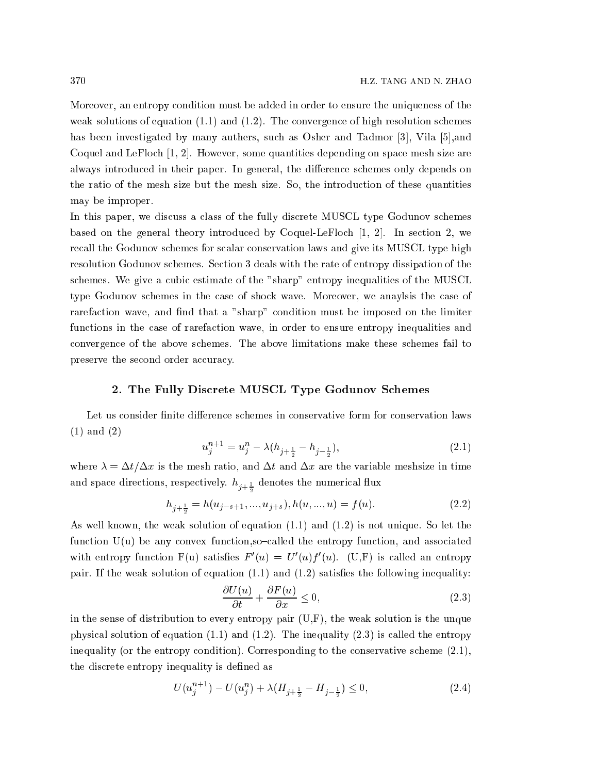Moreover, an entropy ondition must be added in order to ensure the uniqueness of the weak solutions of equation  $(1.1)$  and  $(1.2)$ . The convergence of high resolution schemes has been investigated by many authers, such as Osher and Tadmor [3], Vila [5], and Coquel and LeFloch  $[1, 2]$ . However, some quantities depending on space mesh size are always introduced in their paper. In general, the difference schemes only depends on the ratio of the mesh size but the mesh size. So, the introduction of these quantities may be improper.

In this paper, we discuss a class of the fully discrete MUSCL type Godunov schemes based on the general theory introduced by Coquel-LeFloch  $[1, 2]$ . In section 2, we re
all the Godunov s
hemes for s
alar onservation laws and give its MUSCL type high resolution Godunov s
hemes. Se
tion 3 deals with the rate of entropy dissipation of the schemes. We give a cubic estimate of the "sharp" entropy inequalities of the MUSCL type Godunov s
hemes in the ase of sho
k wave. Moreover, we anaylsis the ase of rarefaction wave, and find that a "sharp" condition must be imposed on the limiter functions in the case of rarefaction wave, in order to ensure entropy inequalities and onvergen
e of the above s
hemes. The above limitations make these s
hemes fail to preserve the second order accuracy.

#### 2. The Fully Dis
rete MUSCL Type Godunov S
hemes

Let us consider finite difference schemes in conservative form for conservation laws (1) and (2)

 $\mathbf{\hat{i}}$ 

$$
u_j^{n+1} = u_j^n - \lambda (h_{j + \frac{1}{2}} - h_{j - \frac{1}{2}}), \tag{2.1}
$$

where  $\lambda = \Delta t / \Delta x$  is the mesh ratio, and  $\Delta t$  and  $\Delta x$  are the variable meshsize in time and space directions, respectively.  $h_{j+\frac{1}{2}}$  denotes the numerical flux

$$
h_{j+\frac{1}{2}} = h(u_{j-s+1}, ..., u_{j+s}), h(u, ..., u) = f(u).
$$
\n(2.2)

As well known, the weak solution of equation (1.1) and (1.2) is not unique. So let the function  $U(u)$  be any convex function,so-called the entropy function, and associated with entropy function  $F(u)$  satisfies  $F'(u) = U'(u)f'(u)$ . (U,F) is called an entropy pair. If the weak solution of equation  $(1.1)$  and  $(1.2)$  satisfies the following inequality:

$$
\frac{\partial U(u)}{\partial t} + \frac{\partial F(u)}{\partial x} \le 0,\t(2.3)
$$

in the sense of distribution to every entropy pair  $(U,F)$ , the weak solution is the unque physical solution of equation  $(1.1)$  and  $(1.2)$ . The inequality  $(2.3)$  is called the entropy inequality (or the entropy condition). Corresponding to the conservative scheme  $(2.1)$ , the discrete entropy inequality is defined as

$$
U(u_j^{n+1}) - U(u_j^n) + \lambda (H_{j + \frac{1}{2}} - H_{j - \frac{1}{2}}) \le 0,
$$
\n(2.4)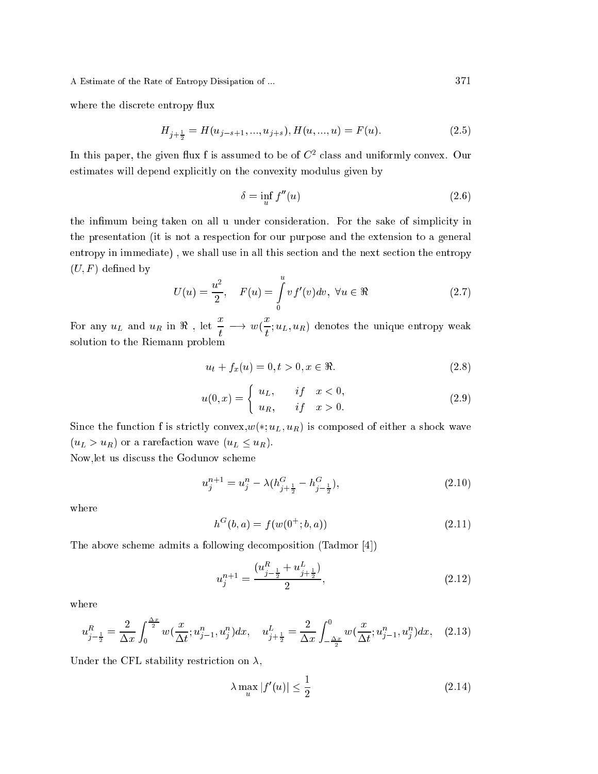where the discrete entropy flux

$$
H_{j+\frac{1}{2}} = H(u_{j-s+1}, ..., u_{j+s}), H(u, ..., u) = F(u).
$$
\n(2.5)

In this paper, the given flux f is assumed to be of  $C<sup>2</sup>$  class and uniformly convex. Our estimates will depend explicitly on the convexity modulus given by

$$
\delta = \inf_{u} f''(u) \tag{2.6}
$$

the infimum being taken on all u under consideration. For the sake of simplicity in the presentation (it is not a respe
tion for our purpose and the extension to a general entropy in immediate), we shall use in all this section and the next section the entropy  $(U, F)$  defined by

$$
U(u) = \frac{u^2}{2}, \quad F(u) = \int_{0}^{u} vf'(v) dv, \ \forall u \in \Re
$$
 (2.7)

For any  $u_L$  and  $u_R$  in  $\Re$  , let  $\frac{x}{t} \longrightarrow w(\frac{x}{t})$  $\overline{t}_t; u_L, u_R$ ) denotes the unique entropy weak solution to the Riemann problem

$$
u_t + f_x(u) = 0, t > 0, x \in \Re.
$$
 (2.8)

$$
u(0,x) = \begin{cases} u_L, & if \quad x < 0, \\ u_R, & if \quad x > 0. \end{cases}
$$
 (2.9)

Since the function f is strictly convex,  $w(*; u_L, u_R)$  is composed of either a shock wave  $(u_L > u_R)$  or a rarefaction wave  $(u_L \le u_R)$ .

Now,let us dis
uss the Godunov s
heme

$$
u_j^{n+1} = u_j^n - \lambda (h_{j+\frac{1}{2}}^G - h_{j-\frac{1}{2}}^G), \tag{2.10}
$$

where

$$
h^G(b, a) = f(w(0^+; b, a))
$$
\n(2.11)

The above scheme admits a following decomposition (Tadmor [4])

$$
u_j^{n+1} = \frac{(u_{j-\frac{1}{2}}^R + u_{j+\frac{1}{2}}^L)}{2},\tag{2.12}
$$

where

$$
u_{j-\frac{1}{2}}^R = \frac{2}{\Delta x} \int_0^{\frac{\Delta x}{2}} w(\frac{x}{\Delta t}; u_{j-1}^n, u_j^n) dx, \quad u_{j+\frac{1}{2}}^L = \frac{2}{\Delta x} \int_{-\frac{\Delta x}{2}}^0 w(\frac{x}{\Delta t}; u_{j-1}^n, u_j^n) dx, \quad (2.13)
$$

Under the CFL stability restriction on  $\lambda$ ,

$$
\lambda \max_{u} |f'(u)| \le \frac{1}{2} \tag{2.14}
$$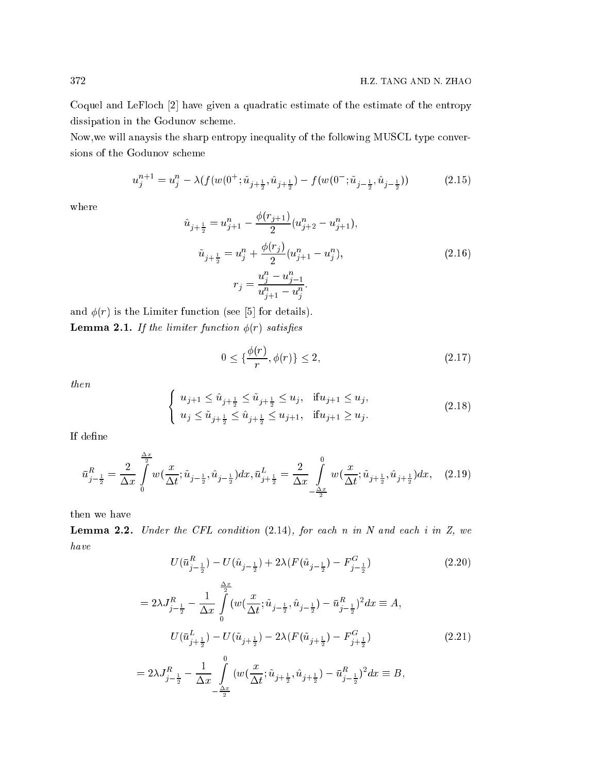Coquel and LeFloch [2] have given a quadratic estimate of the estimate of the entropy dissipation in the Godunov s
heme.

Now,we will anaysis the sharp entropy inequality of the following MUSCL type onversions of the Godunov s
heme

$$
u_j^{n+1} = u_j^n - \lambda(f(w(0^+; \tilde{u}_{j+\frac{1}{2}}, \hat{u}_{j+\frac{1}{2}}) - f(w(0^-; \tilde{u}_{j-\frac{1}{2}}, \hat{u}_{j-\frac{1}{2}}))
$$
(2.15)

where

$$
\hat{u}_{j+\frac{1}{2}} = u_{j+1}^n - \frac{\phi(r_{j+1})}{2} (u_{j+2}^n - u_{j+1}^n),
$$
  
\n
$$
\tilde{u}_{j+\frac{1}{2}} = u_j^n + \frac{\phi(r_j)}{2} (u_{j+1}^n - u_j^n),
$$
  
\n
$$
r_j = \frac{u_j^n - u_{j-1}^n}{u_{j+1}^n - u_j^n}.
$$
\n(2.16)

and  $\phi(r)$  is the Limiter function (see [5] for details). **Lemma 2.1.** If the limiter function  $\phi(r)$  satisfies

$$
0 \le \left\{ \frac{\phi(r)}{r}, \phi(r) \right\} \le 2,\tag{2.17}
$$

then

$$
\begin{cases} u_{j+1} \leq \hat{u}_{j+\frac{1}{2}} \leq \tilde{u}_{j+\frac{1}{2}} \leq u_j, & \text{if } u_{j+1} \leq u_j, \\ u_j \leq \tilde{u}_{j+\frac{1}{2}} \leq \hat{u}_{j+\frac{1}{2}} \leq u_{j+1}, & \text{if } u_{j+1} \geq u_j. \end{cases}
$$
\n(2.18)

If define

$$
\bar{u}_{j-\frac{1}{2}}^{R} = \frac{2}{\Delta x} \int_{0}^{\frac{\Delta x}{2}} w(\frac{x}{\Delta t}; \tilde{u}_{j-\frac{1}{2}}, \hat{u}_{j-\frac{1}{2}}) dx, \bar{u}_{j+\frac{1}{2}}^{L} = \frac{2}{\Delta x} \int_{-\frac{\Delta x}{2}}^{0} w(\frac{x}{\Delta t}; \tilde{u}_{j+\frac{1}{2}}, \hat{u}_{j+\frac{1}{2}}) dx, \quad (2.19)
$$

then we have

Lemma 2.2. Under the CFL condition  $(2.14)$ , for each n in N and each i in Z, we have

 $-\frac{2}{2}$ 

$$
U(\bar{u}_{j-\frac{1}{2}}^R) - U(\hat{u}_{j-\frac{1}{2}}) + 2\lambda (F(\hat{u}_{j-\frac{1}{2}}) - F_{j-\frac{1}{2}}^G) \tag{2.20}
$$

$$
= 2\lambda J_{j-\frac{1}{2}}^R - \frac{1}{\Delta x} \int_0^{\frac{\Delta x}{2}} (w(\frac{x}{\Delta t}; \tilde{u}_{j-\frac{1}{2}}, \hat{u}_{j-\frac{1}{2}}) - \bar{u}_{j-\frac{1}{2}}^R)^2 dx \equiv A,
$$
  

$$
U(\bar{u}_{j+\frac{1}{2}}^L) - U(\tilde{u}_{j+\frac{1}{2}}) - 2\lambda (F(\tilde{u}_{j+\frac{1}{2}}) - F_{j+\frac{1}{2}}^G)
$$
  

$$
= 2\lambda J_{j-\frac{1}{2}}^R - \frac{1}{\Delta x} \int_0^0 (w(\frac{x}{\Delta t}; \tilde{u}_{j+\frac{1}{2}}, \hat{u}_{j+\frac{1}{2}}) - \bar{u}_{j-\frac{1}{2}}^R)^2 dx \equiv B,
$$
 (2.21)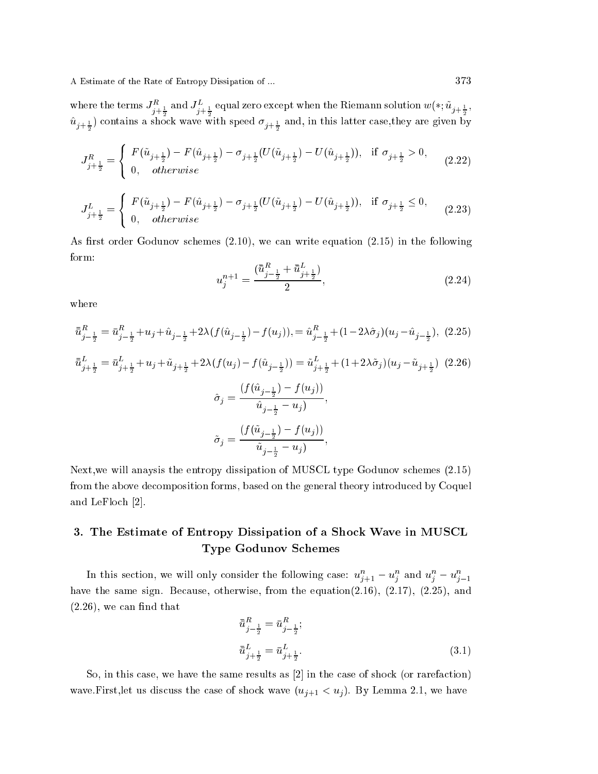where the terms  $J^\mu_{j+\frac{1}{2}}$ and  $J_{j+\frac{1}{2}}^{\mu}$ equal zero except when the Riemann solution  $w(*;u_{j+\frac{1}{2}},$  $u_{j+\frac{1}{2}}$ ) contains a shock wave with speed  $\sigma_{j+\frac{1}{2}}$  and, in this latter case,they are given by

$$
J_{j+\frac{1}{2}}^R=\left\{\begin{array}{ll}F(\tilde u_{j+\frac{1}{2}})-F(\hat u_{j+\frac{1}{2}})-\sigma_{j+\frac{1}{2}}(U(\tilde u_{j+\frac{1}{2}})-U(\hat u_{j+\frac{1}{2}})),&\text{if}~\sigma_{j+\frac{1}{2}}>0,\\ 0,&\text{otherwise}\end{array}\right.\eqno(2.22)
$$

$$
J_{j+\frac{1}{2}}^{L} = \begin{cases} F(\tilde{u}_{j+\frac{1}{2}}) - F(\hat{u}_{j+\frac{1}{2}}) - \sigma_{j+\frac{1}{2}}(U(\tilde{u}_{j+\frac{1}{2}}) - U(\hat{u}_{j+\frac{1}{2}})), & \text{if } \sigma_{j+\frac{1}{2}} \le 0, \\ 0, & otherwise \end{cases}
$$
(2.23)

As first order Godunov schemes  $(2.10)$ , we can write equation  $(2.15)$  in the following form:

$$
u_j^{n+1} = \frac{(\bar{u}_{j-\frac{1}{2}}^R + \bar{u}_{j+\frac{1}{2}}^L)}{2},\tag{2.24}
$$

where

$$
\bar{u}_{j-\frac{1}{2}}^{R} = \bar{u}_{j-\frac{1}{2}}^{R} + u_{j} + \hat{u}_{j-\frac{1}{2}} + 2\lambda (f(\hat{u}_{j-\frac{1}{2}}) - f(u_{j})), = \hat{u}_{j-\frac{1}{2}}^{R} + (1 - 2\lambda\hat{\sigma}_{j})(u_{j} - \hat{u}_{j-\frac{1}{2}}), (2.25)
$$
\n
$$
\bar{u}_{j+\frac{1}{2}}^{L} = \bar{u}_{j+\frac{1}{2}}^{L} + u_{j} + \tilde{u}_{j+\frac{1}{2}} + 2\lambda (f(u_{j}) - f(\hat{u}_{j-\frac{1}{2}})) = \tilde{u}_{j+\frac{1}{2}}^{L} + (1 + 2\lambda\tilde{\sigma}_{j})(u_{j} - \tilde{u}_{j+\frac{1}{2}}) (2.26)
$$
\n
$$
\hat{\sigma}_{j} = \frac{(f(\hat{u}_{j-\frac{1}{2}}) - f(u_{j}))}{\hat{u}_{j-\frac{1}{2}} - u_{j})},
$$
\n
$$
\tilde{\sigma}_{j} = \frac{(f(\tilde{u}_{j-\frac{1}{2}}) - f(u_{j}))}{\tilde{u}_{j-\frac{1}{2}} - u_{j})},
$$

Next,we will anaysis the entropy dissipation of MUSCL type Godunov s
hemes (2.15) from the above de
omposition forms, based on the general theory introdu
ed by Coquel and LeFloch [2].

# 3. The Estimate of Entropy Dissipation of <sup>a</sup> Sho
k Wave in MUSCL Type Godunov S
hemes

In this section, we will only consider the following case:  $u_{j+1}^u - u_j^u$  and  $u_j^u - u_{j-1}^u$ have the same sign. Because, otherwise, from the equation $(2.16)$ ,  $(2.17)$ ,  $(2.25)$ , and  $(2.26)$ , we can find that

$$
\bar{u}_{j-\frac{1}{2}}^{R} = \bar{u}_{j-\frac{1}{2}}^{R};
$$
\n
$$
\bar{u}_{j+\frac{1}{2}}^{L} = \bar{u}_{j+\frac{1}{2}}^{L}.
$$
\n(3.1)

So, in this case, we have the same results as  $[2]$  in the case of shock (or rarefaction) wave.First, let us discuss the case of shock wave  $(u_{j+1} < u_j)$ . By Lemma 2.1, we have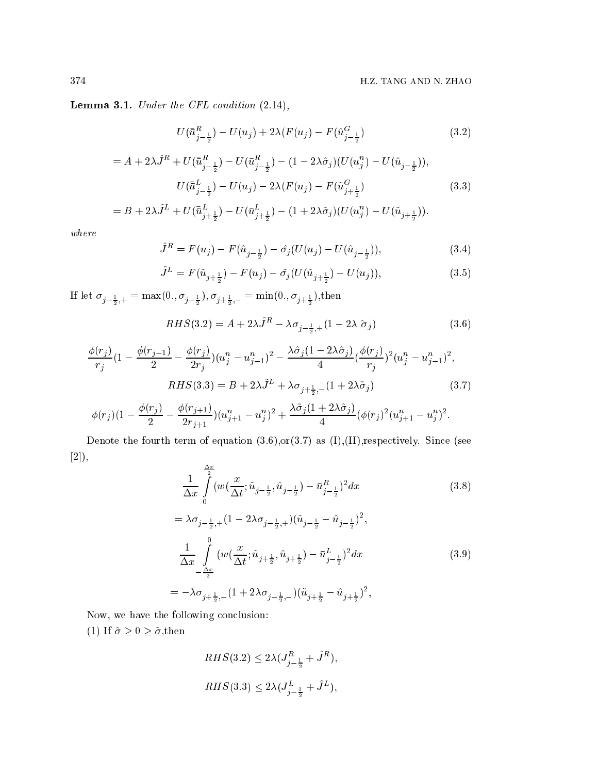Lemma 3.1. Under the CFL condition  $(2.14)$ ,

$$
U(\bar{u}_{j-\frac{1}{2}}^{R}) - U(u_{j}) + 2\lambda(F(u_{j}) - F(\hat{u}_{j-\frac{1}{2}}^{G})
$$
\n(3.2)

$$
= A + 2\lambda \hat{J}^R + U(\bar{\bar{u}}_{j-\frac{1}{2}}^R) - U(\bar{u}_{j-\frac{1}{2}}^R) - (1 - 2\lambda \hat{\sigma}_j)(U(u_j^n) - U(\hat{u}_{j-\frac{1}{2}})),
$$
  

$$
U(\bar{\bar{u}}_{j-\frac{1}{2}}^L) - U(u_j) - 2\lambda (F(u_j) - F(\tilde{u}_{j+\frac{1}{2}}^G) \tag{3.3}
$$

$$
= B + 2\lambda \tilde{J}^L + U(\bar{u}_{j+\frac{1}{2}}^L) - U(\bar{u}_{j+\frac{1}{2}}^L) - (1 + 2\lambda \tilde{\sigma}_j)(U(u_j^n) - U(\tilde{u}_{j+\frac{1}{2}})).
$$

where

$$
\hat{J}^R = F(u_j) - F(\hat{u}_{j-\frac{1}{2}}) - \hat{\sigma}_j(U(u_j) - U(\hat{u}_{j-\frac{1}{2}})),\tag{3.4}
$$

$$
\tilde{J}^{L} = F(\tilde{u}_{j + \frac{1}{2}}) - F(u_{j}) - \tilde{\sigma}_{j}(U(\tilde{u}_{j + \frac{1}{2}}) - U(u_{j})),
$$
\n(3.5)

If let  $\sigma_{j-\frac{1}{2},+} = \max(0., \sigma_{j-\frac{1}{2}}), \sigma_{j+\frac{1}{2},-} = \min(0., \sigma_{j+\frac{1}{2}}),$ then

$$
RHS(3.2) = A + 2\lambda \hat{J}^R - \lambda \sigma_{j-\frac{1}{2},+} (1 - 2\lambda \hat{\sigma}_j)
$$
\n(3.6)

$$
\frac{\phi(r_j)}{r_j} (1 - \frac{\phi(r_{j-1})}{2} - \frac{\phi(r_j)}{2r_j})(u_j^n - u_{j-1}^n)^2 - \frac{\lambda \hat{\sigma}_j (1 - 2\lambda \hat{\sigma}_j)}{4} (\frac{\phi(r_j)}{r_j})^2 (u_j^n - u_{j-1}^n)^2,
$$
  
\n
$$
RHS(3.3) = B + 2\lambda \tilde{J}^L + \lambda \sigma_{j + \frac{1}{2},-} (1 + 2\lambda \tilde{\sigma}_j)
$$
\n(3.7)

$$
\phi(r_j)(1-\frac{\phi(r_j)}{2}-\frac{\phi(r_{j+1})}{2r_{j+1}})(u_{j+1}^n-u_j^n)^2+\frac{\lambda \tilde{\sigma}_j(1+2\lambda \tilde{\sigma}_j)}{4}(\phi(r_j)^2(u_{j+1}^n-u_j^n)^2.
$$

Denote the fourth term of equation  $(3.6)$ , or $(3.7)$  as  $(I)$ ,  $(II)$ , respectively. Since (see  $[2]),$  $\lambda_{\mathcal{P}}$ 

$$
\frac{1}{\Delta x} \int_{0}^{\frac{\Delta x}{2}} (w(\frac{x}{\Delta t}; \tilde{u}_{j-\frac{1}{2}}, \hat{u}_{j-\frac{1}{2}}) - \bar{u}_{j-\frac{1}{2}}^R)^2 dx
$$
\n
$$
= \lambda \sigma_{j-\frac{1}{2},+} (1 - 2\lambda \sigma_{j-\frac{1}{2},+}) (\tilde{u}_{j-\frac{1}{2}} - \hat{u}_{j-\frac{1}{2}})^2,
$$
\n
$$
\frac{1}{\Delta x} \int_{-\frac{\Delta x}{2}}^0 (w(\frac{x}{\Delta t}; \tilde{u}_{j+\frac{1}{2}}, \hat{u}_{j+\frac{1}{2}}) - \bar{u}_{j-\frac{1}{2}}^L)^2 dx
$$
\n
$$
= -\lambda \sigma_{j+\frac{1}{2},-} (1 + 2\lambda \sigma_{j-\frac{1}{2},-}) (\tilde{u}_{j+\frac{1}{2}} - \hat{u}_{j+\frac{1}{2}})^2,
$$
\n(3.9)

Now, we have the following conclusion:

(1) If  $\hat{\sigma} \ge 0 \ge \tilde{\sigma}$ ,then

$$
RHS(3.2) \leq 2\lambda (J_{j-\frac{1}{2}}^R + \hat{J}^R),
$$
  

$$
RHS(3.3) \leq 2\lambda (J_{j-\frac{1}{2}}^L + \hat{J}^L),
$$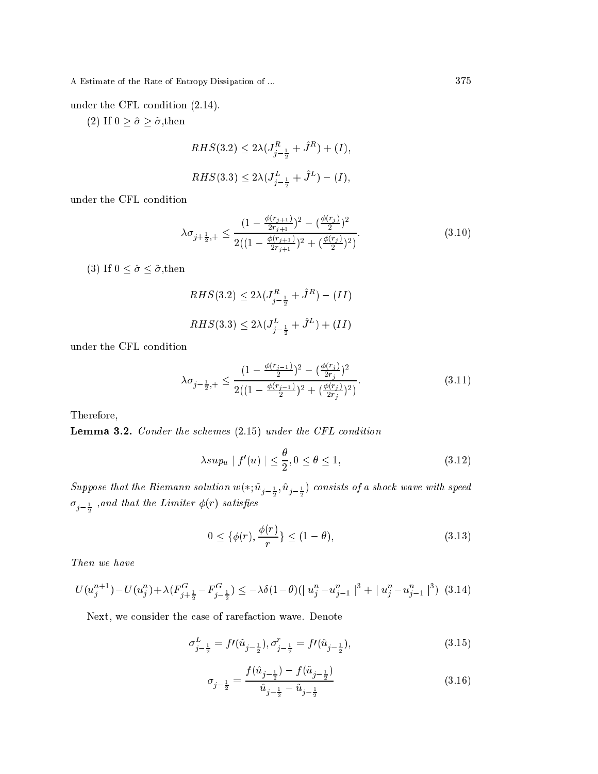under the CFL condition  $(2.14)$ .

(2) If  $0 \geq \hat{\sigma} \geq \tilde{\sigma}$ ,then

$$
RHS(3.2) \le 2\lambda (J_{j-\frac{1}{2}}^R + \hat{J}^R) + (I),
$$
  

$$
RHS(3.3) \le 2\lambda (J_{j-\frac{1}{2}}^L + \hat{J}^L) - (I),
$$

under the CFL ondition

$$
\lambda \sigma_{j+\frac{1}{2},+} \le \frac{(1 - \frac{\phi(r_{j+1})}{2r_{j+1}})^2 - (\frac{\phi(r_j)}{2})^2}{2((1 - \frac{\phi(r_{j+1})}{2r_{j+1}})^2 + (\frac{\phi(r_j)}{2})^2)}.
$$
\n(3.10)

(3) If  $0 \leq \hat{\sigma} \leq \tilde{\sigma}$ , then

$$
RHS(3.2) \le 2\lambda (J_{j-\frac{1}{2}}^R + \hat{J}^R) - (II)
$$
  

$$
RHS(3.3) \le 2\lambda (J_{j-\frac{1}{2}}^L + \hat{J}^L) + (II)
$$

under the CFL ondition

$$
\lambda \sigma_{j-\frac{1}{2},+} \le \frac{(1 - \frac{\phi(r_{j-1})}{2})^2 - (\frac{\phi(r_j)}{2r_j})^2}{2((1 - \frac{\phi(r_{j-1})}{2})^2 + (\frac{\phi(r_j)}{2r_j})^2)}.
$$
\n(3.11)

Therefore,

Lemma 3.2. Conder the schemes (2.15) under the CFL condition

$$
\lambda \sup u \mid f'(u) \mid \leq \frac{\theta}{2}, 0 \leq \theta \leq 1,\tag{3.12}
$$

Suppose that the Kiemann solution  $w(*; u_{j-\frac{1}{2}}, u_{j-\frac{1}{2}})$  consists of a shock wave with speed  $\sigma_{j-\frac{1}{2}}$  ,and that the Limiter  $\phi(r)$  satisfies

$$
0 \le \{\phi(r), \frac{\phi(r)}{r}\} \le (1 - \theta),\tag{3.13}
$$

Then we have

$$
U(u_j^{n+1}) - U(u_j^n) + \lambda (F_{j + \frac{1}{2}}^G - F_{j - \frac{1}{2}}^G) \le -\lambda \delta (1 - \theta) (|u_j^n - u_{j - 1}^n|^3 + |u_j^n - u_{j - 1}^n|^3) \tag{3.14}
$$

Next, we consider the case of rarefaction wave. Denote

$$
\sigma_{j-\frac{1}{2}}^L = f'(\tilde{u}_{j-\frac{1}{2}}), \sigma_{j-\frac{1}{2}}^r = f'(\hat{u}_{j-\frac{1}{2}}), \tag{3.15}
$$

$$
\sigma_{j-\frac{1}{2}} = \frac{f(\hat{u}_{j-\frac{1}{2}}) - f(\tilde{u}_{j-\frac{1}{2}})}{\hat{u}_{j-\frac{1}{2}} - \tilde{u}_{j-\frac{1}{2}}}
$$
(3.16)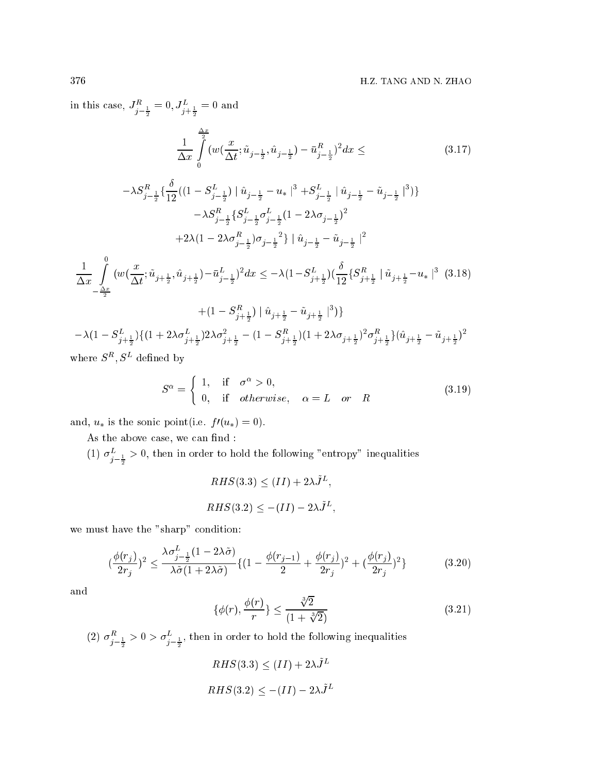in this case,  $J_{j-\frac{1}{2}}^{\mu} = 0, J_{j+\frac{1}{2}}^{\mu} = 0$  and

$$
\frac{1}{\Delta x} \int_{0}^{\frac{\Delta x}{2}} (w(\frac{x}{\Delta t}; \tilde{u}_{j-\frac{1}{2}}, \hat{u}_{j-\frac{1}{2}}) - \bar{u}_{j-\frac{1}{2}}^R)^2 dx \leq \tag{3.17}
$$

$$
-\lambda S_{j-\frac{1}{2}}^R \left\{ \frac{\delta}{12} \left( (1 - S_{j-\frac{1}{2}}^L) \mid \hat{u}_{j-\frac{1}{2}} - u_* \mid ^3 + S_{j-\frac{1}{2}}^L \mid \hat{u}_{j-\frac{1}{2}} - \tilde{u}_{j-\frac{1}{2}} \mid ^3 \right) \right\}
$$

$$
-\lambda S_{j-\frac{1}{2}}^R \left\{ S_{j-\frac{1}{2}}^L \sigma_{j-\frac{1}{2}}^L (1 - 2\lambda \sigma_{j-\frac{1}{2}}^L)^2 + 2\lambda (1 - 2\lambda \sigma_{j-\frac{1}{2}}^L) \sigma_{j-\frac{1}{2}}^2 \mid \hat{u}_{j-\frac{1}{2}} - \tilde{u}_{j-\frac{1}{2}} \mid ^2
$$

$$
+ 2\lambda (1 - 2\lambda \sigma_{j-\frac{1}{2}}^R) \sigma_{j-\frac{1}{2}}^2 \mid \hat{u}_{j-\frac{1}{2}} - \tilde{u}_{j-\frac{1}{2}} \mid ^2
$$

$$
\frac{1}{\Delta x} \int_{-\frac{\Delta x}{2}}^0 (w(\frac{x}{\Delta t}; \tilde{u}_{j+\frac{1}{2}}, \hat{u}_{j+\frac{1}{2}}) - \bar{u}_{j-\frac{1}{2}}^L)^2 dx \le -\lambda (1 - S_{j+\frac{1}{2}}^L) (\frac{\delta}{12} \{ S_{j+\frac{1}{2}}^R \mid \tilde{u}_{j+\frac{1}{2}} - u_* \mid ^3 \quad (3.18)
$$

$$
+ (1 - S_{j + \frac{1}{2}}^R) | \hat{u}_{j + \frac{1}{2}} - \tilde{u}_{j + \frac{1}{2}} |^3 )\}
$$
  

$$
- \lambda (1 - S_{j + \frac{1}{2}}^L) \{ (1 + 2\lambda \sigma_{j + \frac{1}{2}}^L) 2\lambda \sigma_{j + \frac{1}{2}}^2 - (1 - S_{j + \frac{1}{2}}^R) (1 + 2\lambda \sigma_{j + \frac{1}{2}})^2 \sigma_{j + \frac{1}{2}}^R \} (\hat{u}_{j + \frac{1}{2}} - \tilde{u}_{j + \frac{1}{2}})^2
$$

where  $S^{R}$ ,  $S^{L}$  defined by

$$
S^{\alpha} = \begin{cases} 1, & \text{if } \sigma^{\alpha} > 0, \\ 0, & \text{if } otherwise, \alpha = L \text{ or } R \end{cases}
$$
 (3.19)

and,  $u_*$  is the sonic point(i.e.  $f'(u_*) = 0$ ).

As the above case, we can find :

(1)  $\sigma_{j=\frac{1}{2}}^{\nu}>0,$  then in order to hold the following "entropy" inequalities

$$
RHS(3.3) \leq (II) + 2\lambda J^{L},
$$
  

$$
RHS(3.2) \leq -(II) - 2\lambda \tilde{J}^{L},
$$

we must have the "sharp" condition:

$$
\left(\frac{\phi(r_j)}{2r_j}\right)^2 \le \frac{\lambda \sigma_{j-\frac{1}{2}}^L (1 - 2\lambda \tilde{\sigma})}{\lambda \tilde{\sigma} (1 + 2\lambda \tilde{\sigma})} \{ (1 - \frac{\phi(r_{j-1})}{2} + \frac{\phi(r_j)}{2r_j})^2 + (\frac{\phi(r_j)}{2r_j})^2 \}
$$
(3.20)

and

$$
\{\phi(r), \frac{\phi(r)}{r}\} \le \frac{\sqrt[3]{2}}{(1 + \sqrt[3]{2})} \tag{3.21}
$$

(2)  $\sigma_{i-\frac{1}{2}}^{\mu} > 0 > \sigma_{i-\frac{1}{2}}^{\mu}$ , then in order to hold the following inequalities

$$
RHS(3.3) \leq (II) + 2\lambda J^L
$$
  

$$
RHS(3.2) \leq -(II) - 2\lambda \tilde{J}^L
$$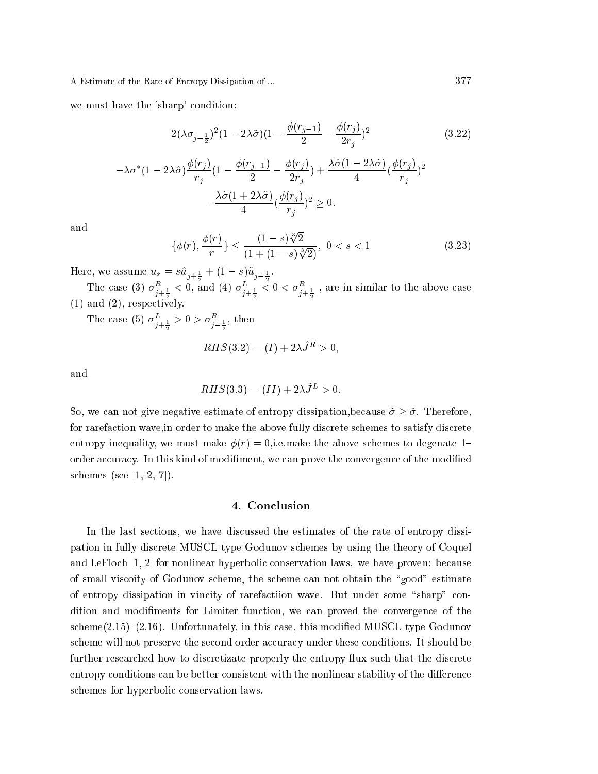we must have the 'sharp' condition:

$$
2(\lambda \sigma_{j-\frac{1}{2}})^{2}(1 - 2\lambda \tilde{\sigma})(1 - \frac{\phi(r_{j-1})}{2} - \frac{\phi(r_{j})}{2r_{j}})^{2}
$$
(3.22)  

$$
-\lambda \sigma^{*}(1 - 2\lambda \hat{\sigma}) \frac{\phi(r_{j})}{r_{j}}(1 - \frac{\phi(r_{j-1})}{2} - \frac{\phi(r_{j})}{2r_{j}}) + \frac{\lambda \hat{\sigma}(1 - 2\lambda \tilde{\sigma})}{4}(\frac{\phi(r_{j})}{r_{j}})^{2}
$$

$$
-\frac{\lambda \tilde{\sigma}(1 + 2\lambda \tilde{\sigma})}{4}(\frac{\phi(r_{j})}{r_{j}})^{2} \geq 0.
$$

and

$$
\{\phi(r), \frac{\phi(r)}{r}\} \le \frac{(1-s)\sqrt[3]{2}}{(1+(1-s)\sqrt[3]{2})}, \ 0 < s < 1 \tag{3.23}
$$

Here, we assume  $u_* = su_{j+\frac{1}{2}} + (1 - s)u_{j-\frac{1}{2}}$ .

The case (3)  $\sigma_{j+\frac{1}{2}}^{\infty}$  $< 0$ , and (4)  $\sigma_{j+\frac{1}{2}}^{\nu}$  $<$  0  $<$   $\sigma^{n}_{j+\frac{1}{2}}$  , are in similar to the above case (1) and (2), respe
tively.

The case (5)  $\sigma_{i+\frac{1}{2}}^{\mu} > 0 > \sigma_{i-\frac{1}{2}}^{\mu}$ , then – –

$$
RHS(3.2) = (I) + 2\lambda \hat{J}^R > 0,
$$

and

$$
RHS(3.3) = (II) + 2\lambda \tilde{J}^L > 0.
$$

So, we can not give negative estimate of entropy dissipation, because  $\tilde{\sigma} \geq \hat{\sigma}$ . Therefore, for rarefa
tion wave,in order to make the above fully dis
rete s
hemes to satisfy dis
rete entropy inequality, we must make  $\phi(r) = 0$ , i.e. make the above schemes to degenate 1– order accuracy. In this kind of modifiment, we can prove the convergence of the modified schemes (see  $[1, 2, 7]$ ).

## 4. Con
lusion

In the last sections, we have discussed the estimates of the rate of entropy dissipation in fully dis
rete MUSCL type Godunov s
hemes by using the theory of Coquel and LeFloch  $[1, 2]$  for nonlinear hyperbolic conservation laws. we have proven: because of small vis
oity of Godunov s
heme, the s
heme an not obtain the \good" estimate of entropy dissipation in vincity of rarefaction wave. But under some "sharp" condition and modiments for Limiter fun
tion, we an proved the onvergen
e of the  $scheme(2.15)–(2.16)$ . Unfortunately, in this case, this modified MUSCL type Godunov scheme will not preserve the second order accuracy under these conditions. It should be further researched how to discretizate properly the entropy flux such that the discrete entropy conditions can be better consistent with the nonlinear stability of the difference schemes for hyperbolic conservation laws.